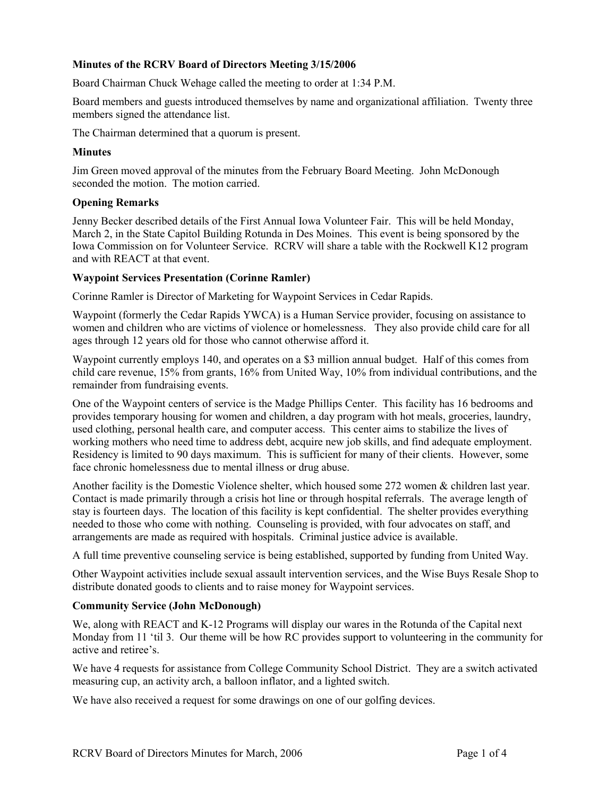# **Minutes of the RCRV Board of Directors Meeting 3/15/2006**

Board Chairman Chuck Wehage called the meeting to order at 1:34 P.M.

Board members and guests introduced themselves by name and organizational affiliation. Twenty three members signed the attendance list.

The Chairman determined that a quorum is present.

### **Minutes**

Jim Green moved approval of the minutes from the February Board Meeting. John McDonough seconded the motion. The motion carried.

## **Opening Remarks**

Jenny Becker described details of the First Annual Iowa Volunteer Fair. This will be held Monday, March 2, in the State Capitol Building Rotunda in Des Moines. This event is being sponsored by the Iowa Commission on for Volunteer Service. RCRV will share a table with the Rockwell K12 program and with REACT at that event.

### **Waypoint Services Presentation (Corinne Ramler)**

Corinne Ramler is Director of Marketing for Waypoint Services in Cedar Rapids.

Waypoint (formerly the Cedar Rapids YWCA) is a Human Service provider, focusing on assistance to women and children who are victims of violence or homelessness. They also provide child care for all ages through 12 years old for those who cannot otherwise afford it.

Waypoint currently employs 140, and operates on a \$3 million annual budget. Half of this comes from child care revenue, 15% from grants, 16% from United Way, 10% from individual contributions, and the remainder from fundraising events.

One of the Waypoint centers of service is the Madge Phillips Center. This facility has 16 bedrooms and provides temporary housing for women and children, a day program with hot meals, groceries, laundry, used clothing, personal health care, and computer access. This center aims to stabilize the lives of working mothers who need time to address debt, acquire new job skills, and find adequate employment. Residency is limited to 90 days maximum. This is sufficient for many of their clients. However, some face chronic homelessness due to mental illness or drug abuse.

Another facility is the Domestic Violence shelter, which housed some 272 women & children last year. Contact is made primarily through a crisis hot line or through hospital referrals. The average length of stay is fourteen days. The location of this facility is kept confidential. The shelter provides everything needed to those who come with nothing. Counseling is provided, with four advocates on staff, and arrangements are made as required with hospitals. Criminal justice advice is available.

A full time preventive counseling service is being established, supported by funding from United Way.

Other Waypoint activities include sexual assault intervention services, and the Wise Buys Resale Shop to distribute donated goods to clients and to raise money for Waypoint services.

## **Community Service (John McDonough)**

We, along with REACT and K-12 Programs will display our wares in the Rotunda of the Capital next Monday from 11 'til 3. Our theme will be how RC provides support to volunteering in the community for active and retiree's.

We have 4 requests for assistance from College Community School District. They are a switch activated measuring cup, an activity arch, a balloon inflator, and a lighted switch.

We have also received a request for some drawings on one of our golfing devices.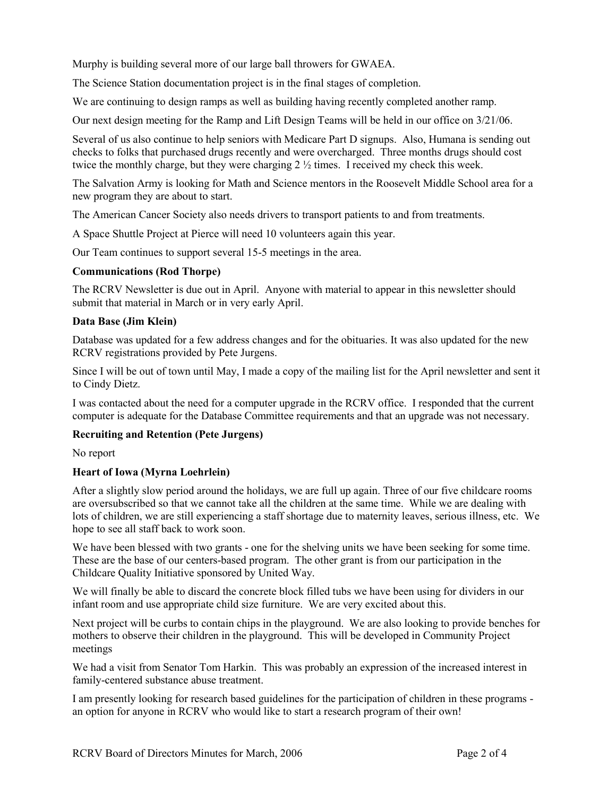Murphy is building several more of our large ball throwers for GWAEA.

The Science Station documentation project is in the final stages of completion.

We are continuing to design ramps as well as building having recently completed another ramp.

Our next design meeting for the Ramp and Lift Design Teams will be held in our office on 3/21/06.

Several of us also continue to help seniors with Medicare Part D signups. Also, Humana is sending out checks to folks that purchased drugs recently and were overcharged. Three months drugs should cost twice the monthly charge, but they were charging 2 ½ times. I received my check this week.

The Salvation Army is looking for Math and Science mentors in the Roosevelt Middle School area for a new program they are about to start.

The American Cancer Society also needs drivers to transport patients to and from treatments.

A Space Shuttle Project at Pierce will need 10 volunteers again this year.

Our Team continues to support several 15-5 meetings in the area.

# **Communications (Rod Thorpe)**

The RCRV Newsletter is due out in April. Anyone with material to appear in this newsletter should submit that material in March or in very early April.

# **Data Base (Jim Klein)**

Database was updated for a few address changes and for the obituaries. It was also updated for the new RCRV registrations provided by Pete Jurgens.

Since I will be out of town until May, I made a copy of the mailing list for the April newsletter and sent it to Cindy Dietz.

I was contacted about the need for a computer upgrade in the RCRV office. I responded that the current computer is adequate for the Database Committee requirements and that an upgrade was not necessary.

# **Recruiting and Retention (Pete Jurgens)**

No report

# **Heart of Iowa (Myrna Loehrlein)**

After a slightly slow period around the holidays, we are full up again. Three of our five childcare rooms are oversubscribed so that we cannot take all the children at the same time. While we are dealing with lots of children, we are still experiencing a staff shortage due to maternity leaves, serious illness, etc. We hope to see all staff back to work soon.

We have been blessed with two grants - one for the shelving units we have been seeking for some time. These are the base of our centers-based program. The other grant is from our participation in the Childcare Quality Initiative sponsored by United Way.

We will finally be able to discard the concrete block filled tubs we have been using for dividers in our infant room and use appropriate child size furniture. We are very excited about this.

Next project will be curbs to contain chips in the playground. We are also looking to provide benches for mothers to observe their children in the playground. This will be developed in Community Project meetings

We had a visit from Senator Tom Harkin. This was probably an expression of the increased interest in family-centered substance abuse treatment.

I am presently looking for research based guidelines for the participation of children in these programs an option for anyone in RCRV who would like to start a research program of their own!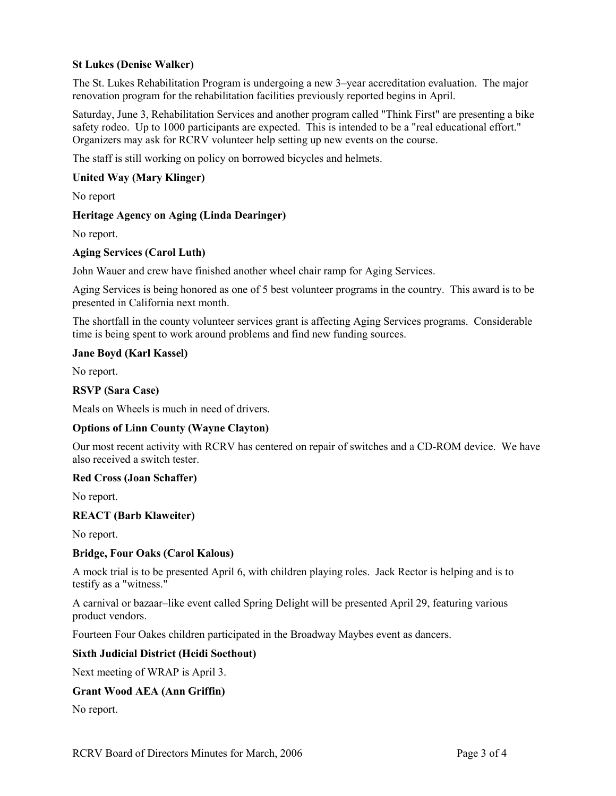# **St Lukes (Denise Walker)**

The St. Lukes Rehabilitation Program is undergoing a new 3–year accreditation evaluation. The major renovation program for the rehabilitation facilities previously reported begins in April.

Saturday, June 3, Rehabilitation Services and another program called "Think First" are presenting a bike safety rodeo. Up to 1000 participants are expected. This is intended to be a "real educational effort." Organizers may ask for RCRV volunteer help setting up new events on the course.

The staff is still working on policy on borrowed bicycles and helmets.

### **United Way (Mary Klinger)**

No report

### **Heritage Agency on Aging (Linda Dearinger)**

No report.

### **Aging Services (Carol Luth)**

John Wauer and crew have finished another wheel chair ramp for Aging Services.

Aging Services is being honored as one of 5 best volunteer programs in the country. This award is to be presented in California next month.

The shortfall in the county volunteer services grant is affecting Aging Services programs. Considerable time is being spent to work around problems and find new funding sources.

### **Jane Boyd (Karl Kassel)**

No report.

### **RSVP (Sara Case)**

Meals on Wheels is much in need of drivers.

## **Options of Linn County (Wayne Clayton)**

Our most recent activity with RCRV has centered on repair of switches and a CD-ROM device. We have also received a switch tester.

#### **Red Cross (Joan Schaffer)**

No report.

#### **REACT (Barb Klaweiter)**

No report.

## **Bridge, Four Oaks (Carol Kalous)**

A mock trial is to be presented April 6, with children playing roles. Jack Rector is helping and is to testify as a "witness."

A carnival or bazaar–like event called Spring Delight will be presented April 29, featuring various product vendors.

Fourteen Four Oakes children participated in the Broadway Maybes event as dancers.

#### **Sixth Judicial District (Heidi Soethout)**

Next meeting of WRAP is April 3.

#### **Grant Wood AEA (Ann Griffin)**

No report.